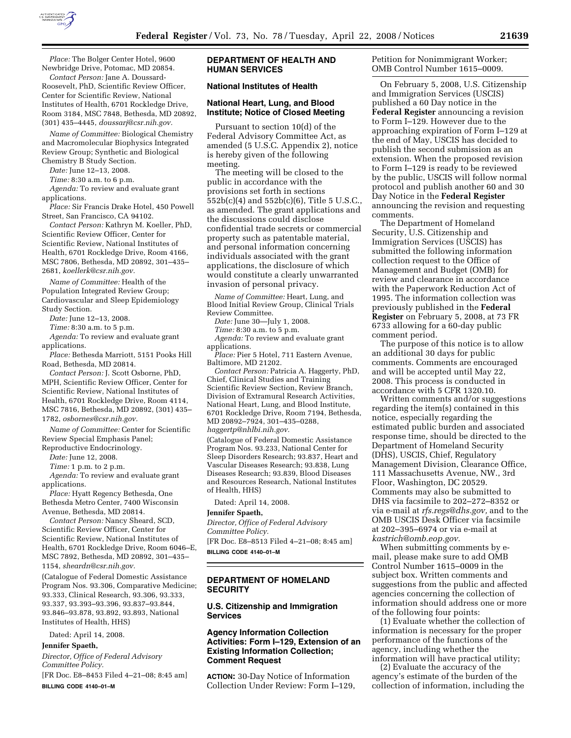

*Place:* The Bolger Center Hotel, 9600 Newbridge Drive, Potomac, MD 20854.

*Contact Person:* Jane A. Doussard-Roosevelt, PhD, Scientific Review Officer, Center for Scientific Review, National Institutes of Health, 6701 Rockledge Drive, Room 3184, MSC 7848, Bethesda, MD 20892, (301) 435–4445, *doussarj@csr.nih.gov.* 

*Name of Committee:* Biological Chemistry and Macromolecular Biophysics Integrated Review Group; Synthetic and Biological Chemistry B Study Section.

*Date:* June 12–13, 2008.

*Time:* 8:30 a.m. to 6 p.m.

*Agenda:* To review and evaluate grant applications.

*Place:* Sir Francis Drake Hotel, 450 Powell Street, San Francisco, CA 94102.

*Contact Person:* Kathryn M. Koeller, PhD, Scientific Review Officer, Center for Scientific Review, National Institutes of Health, 6701 Rockledge Drive, Room 4166, MSC 7806, Bethesda, MD 20892, 301–435– 2681, *koellerk@csr.nih.gov.* 

*Name of Committee:* Health of the Population Integrated Review Group; Cardiovascular and Sleep Epidemiology Study Section.

*Date:* June 12–13, 2008.

*Time:* 8:30 a.m. to 5 p.m.

*Agenda:* To review and evaluate grant applications.

*Place:* Bethesda Marriott, 5151 Pooks Hill Road, Bethesda, MD 20814.

*Contact Person:* J. Scott Osborne, PhD, MPH, Scientific Review Officer, Center for Scientific Review, National Institutes of Health, 6701 Rockledge Drive, Room 4114, MSC 7816, Bethesda, MD 20892, (301) 435– 1782, *osbornes@csr.nih.gov.* 

*Name of Committee:* Center for Scientific Review Special Emphasis Panel;

Reproductive Endocrinology.

*Date:* June 12, 2008.

*Time:* 1 p.m. to 2 p.m.

*Agenda:* To review and evaluate grant applications.

*Place:* Hyatt Regency Bethesda, One Bethesda Metro Center, 7400 Wisconsin Avenue, Bethesda, MD 20814.

*Contact Person:* Nancy Sheard, SCD, Scientific Review Officer, Center for Scientific Review, National Institutes of Health, 6701 Rockledge Drive, Room 6046–E, MSC 7892, Bethesda, MD 20892, 301–435– 1154, *sheardn@csr.nih.gov.* 

(Catalogue of Federal Domestic Assistance Program Nos. 93.306, Comparative Medicine; 93.333, Clinical Research, 93.306, 93.333, 93.337, 93.393–93.396, 93.837–93.844, 93.846–93.878, 93.892, 93.893, National Institutes of Health, HHS)

Dated: April 14, 2008.

## **Jennifer Spaeth,**

*Director, Office of Federal Advisory Committee Policy.* 

[FR Doc. E8–8453 Filed 4–21–08; 8:45 am] **BILLING CODE 4140–01–M** 

## **DEPARTMENT OF HEALTH AND HUMAN SERVICES**

# **National Institutes of Health**

#### **National Heart, Lung, and Blood Institute; Notice of Closed Meeting**

Pursuant to section 10(d) of the Federal Advisory Committee Act, as amended (5 U.S.C. Appendix 2), notice is hereby given of the following meeting.

The meeting will be closed to the public in accordance with the provisions set forth in sections 552b(c)(4) and 552b(c)(6), Title 5 U.S.C., as amended. The grant applications and the discussions could disclose confidential trade secrets or commercial property such as patentable material, and personal information concerning individuals associated with the grant applications, the disclosure of which would constitute a clearly unwarranted invasion of personal privacy.

*Name of Committee:* Heart, Lung, and Blood Initial Review Group, Clinical Trials Review Committee.

*Date:* June 30—July 1, 2008.

*Time:* 8:30 a.m. to 5 p.m.

*Agenda:* To review and evaluate grant applications.

*Place:* Pier 5 Hotel, 711 Eastern Avenue, Baltimore, MD 21202.

*Contact Person:* Patricia A. Haggerty, PhD, Chief, Clinical Studies and Training Scientific Review Section, Review Branch, Division of Extramural Research Activities, National Heart, Lung, and Blood Institute, 6701 Rockledge Drive, Room 7194, Bethesda, MD 20892–7924, 301–435–0288, *haggertp@nhlbi.nih.gov.* 

(Catalogue of Federal Domestic Assistance Program Nos. 93.233, National Center for Sleep Disorders Research; 93.837, Heart and Vascular Diseases Research; 93.838, Lung Diseases Research; 93.839, Blood Diseases and Resources Research, National Institutes of Health, HHS)

Dated: April 14, 2008.

#### **Jennifer Spaeth,**

*Director, Office of Federal Advisory Committee Policy.* 

[FR Doc. E8–8513 Filed 4–21–08; 8:45 am] **BILLING CODE 4140–01–M** 

### **DEPARTMENT OF HOMELAND SECURITY**

#### **U.S. Citizenship and Immigration Services**

### **Agency Information Collection Activities: Form I–129, Extension of an Existing Information Collection; Comment Request**

**ACTION:** 30-Day Notice of Information Collection Under Review: Form I–129, Petition for Nonimmigrant Worker; OMB Control Number 1615–0009.

On February 5, 2008, U.S. Citizenship and Immigration Services (USCIS) published a 60 Day notice in the **Federal Register** announcing a revision to Form I–129. However due to the approaching expiration of Form I–129 at the end of May, USCIS has decided to publish the second submission as an extension. When the proposed revision to Form I–129 is ready to be reviewed by the public, USCIS will follow normal protocol and publish another 60 and 30 Day Notice in the **Federal Register**  announcing the revision and requesting comments.

The Department of Homeland Security, U.S. Citizenship and Immigration Services (USCIS) has submitted the following information collection request to the Office of Management and Budget (OMB) for review and clearance in accordance with the Paperwork Reduction Act of 1995. The information collection was previously published in the **Federal Register** on February 5, 2008, at 73 FR 6733 allowing for a 60-day public comment period.

The purpose of this notice is to allow an additional 30 days for public comments. Comments are encouraged and will be accepted until May 22, 2008. This process is conducted in accordance with 5 CFR 1320.10.

Written comments and/or suggestions regarding the item(s) contained in this notice, especially regarding the estimated public burden and associated response time, should be directed to the Department of Homeland Security (DHS), USCIS, Chief, Regulatory Management Division, Clearance Office, 111 Massachusetts Avenue, NW., 3rd Floor, Washington, DC 20529. Comments may also be submitted to DHS via facsimile to 202–272–8352 or via e-mail at *rfs.regs@dhs.gov,* and to the OMB USCIS Desk Officer via facsimile at 202–395–6974 or via e-mail at *kastrich@omb.eop.gov.* 

When submitting comments by email, please make sure to add OMB Control Number 1615–0009 in the subject box. Written comments and suggestions from the public and affected agencies concerning the collection of information should address one or more of the following four points:

(1) Evaluate whether the collection of information is necessary for the proper performance of the functions of the agency, including whether the information will have practical utility;

(2) Evaluate the accuracy of the agency's estimate of the burden of the collection of information, including the